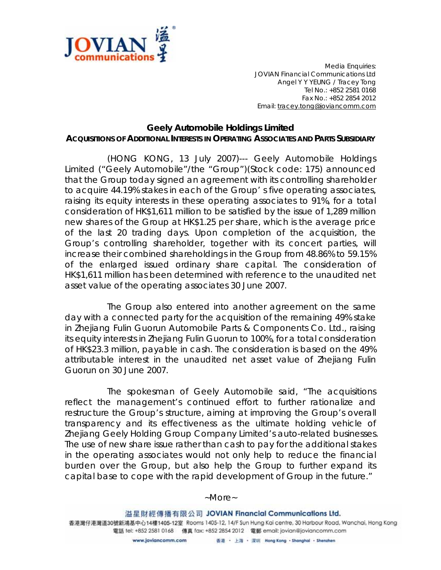

*Media Enquiries: JOVIAN Financial Communications Ltd Angel Y Y YEUNG / Tracey Tong Tel No.: +852 2581 0168 Fax No.: +852 2854 2012 Email: tracey.tong@joviancomm.com*

## **Geely Automobile Holdings Limited ACQUISITIONS OF ADDITIONAL INTERESTS IN OPERATING ASSOCIATES AND PARTS SUBSIDIARY**

(HONG KONG, 13 July 2007)--- Geely Automobile Holdings Limited ("Geely Automobile"/the "Group")(Stock code: 175) announced that the Group today signed an agreement with its controlling shareholder to acquire 44.19% stakes in each of the Group' s five operating associates, raising its equity interests in these operating associates to 91%, for a total consideration of HK\$1,611 million to be satisfied by the issue of 1,289 million new shares of the Group at HK\$1.25 per share, which is the average price of the last 20 trading days. Upon completion of the acquisition, the Group's controlling shareholder, together with its concert parties, will increase their combined shareholdings in the Group from 48.86% to 59.15% of the enlarged issued ordinary share capital. The consideration of HK\$1,611 million has been determined with reference to the unaudited net asset value of the operating associates 30 June 2007.

The Group also entered into another agreement on the same day with a connected party for the acquisition of the remaining 49% stake in Zhejiang Fulin Guorun Automobile Parts & Components Co. Ltd., raising its equity interests in Zhejiang Fulin Guorun to 100%, for a total consideration of HK\$23.3 million, payable in cash. The consideration is based on the 49% attributable interest in the unaudited net asset value of Zhejiang Fulin Guorun on 30 June 2007.

The spokesman of Geely Automobile said, "The acquisitions reflect the management's continued effort to further rationalize and restructure the Group's structure, aiming at improving the Group's overall transparency and its effectiveness as the ultimate holding vehicle of Zhejiang Geely Holding Group Company Limited's auto-related businesses. The use of new share issue rather than cash to pay for the additional stakes in the operating associates would not only help to reduce the financial burden over the Group, but also help the Group to further expand its capital base to cope with the rapid development of Group in the future."

## *~More~*

溢星財經傳播有限公司 JOVIAN Financial Communications Ltd. 香港灣仔港灣道30號新鴻基中心14樓1405-12室 Rooms 1405-12, 14/F Sun Hung Kai centre, 30 Harbour Road, Wanchai, Hong Kong 電話 tel: +852 2581 0168 傳真 fax: +852 2854 2012 電郵 email: jovian@joviancomm.com